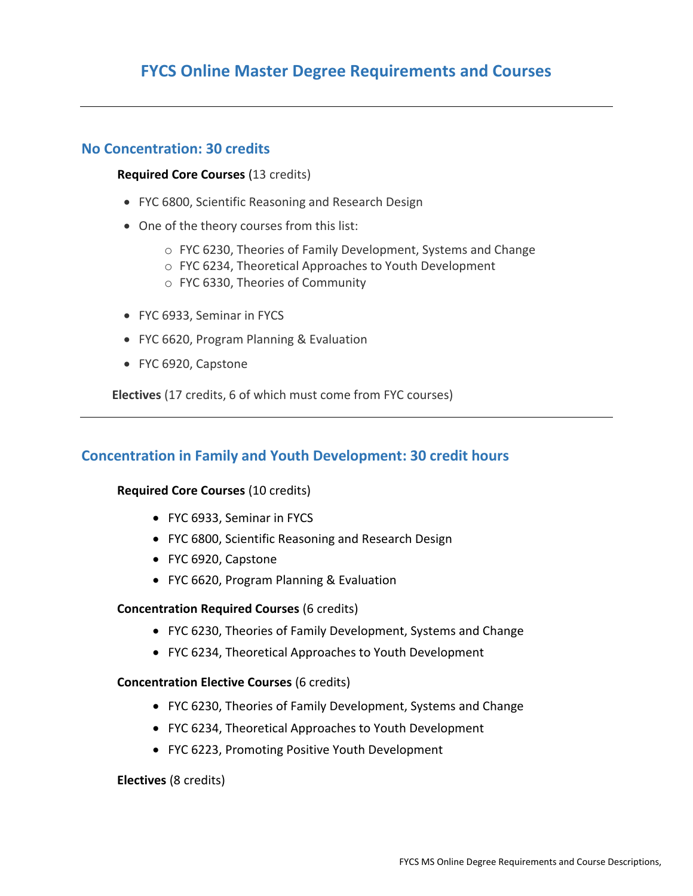## **FYCS Online Master Degree Requirements and Courses**

## **No Concentration: 30 credits**

#### **Required Core Courses** (13 credits)

- FYC 6800, Scientific Reasoning and Research Design
- One of the theory courses from this list:
	- o FYC 6230, Theories of Family Development, Systems and Change
	- o FYC 6234, Theoretical Approaches to Youth Development
	- o FYC 6330, Theories of Community
- FYC 6933, Seminar in FYCS
- FYC 6620, Program Planning & Evaluation
- FYC 6920, Capstone

**Electives** (17 credits, 6 of which must come from FYC courses)

## **Concentration in Family and Youth Development: 30 credit hours**

#### **Required Core Courses** (10 credits)

- FYC 6933, Seminar in FYCS
- FYC 6800, Scientific Reasoning and Research Design
- FYC 6920, Capstone
- FYC 6620, Program Planning & Evaluation

#### **Concentration Required Courses** (6 credits)

- FYC 6230, Theories of Family Development, Systems and Change
- FYC 6234, Theoretical Approaches to Youth Development

#### **Concentration Elective Courses** (6 credits)

- FYC 6230, Theories of Family Development, Systems and Change
- FYC 6234, Theoretical Approaches to Youth Development
- FYC 6223, Promoting Positive Youth Development

#### **Electives** (8 credits)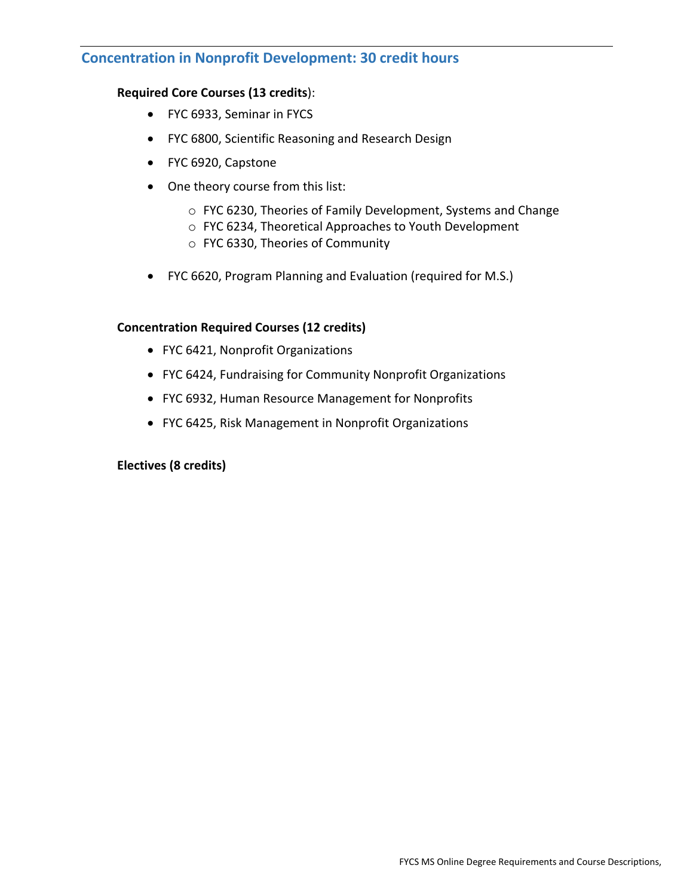## **Concentration in Nonprofit Development: 30 credit hours**

### **Required Core Courses (13 credits**):

- FYC 6933, Seminar in FYCS
- FYC 6800, Scientific Reasoning and Research Design
- FYC 6920, Capstone
- One theory course from this list:
	- o FYC 6230, Theories of Family Development, Systems and Change
	- o FYC 6234, Theoretical Approaches to Youth Development
	- o FYC 6330, Theories of Community
- FYC 6620, Program Planning and Evaluation (required for M.S.)

#### **Concentration Required Courses (12 credits)**

- FYC 6421, Nonprofit Organizations
- FYC 6424, Fundraising for Community Nonprofit Organizations
- FYC 6932, Human Resource Management for Nonprofits
- FYC 6425, Risk Management in Nonprofit Organizations

#### **Electives (8 credits)**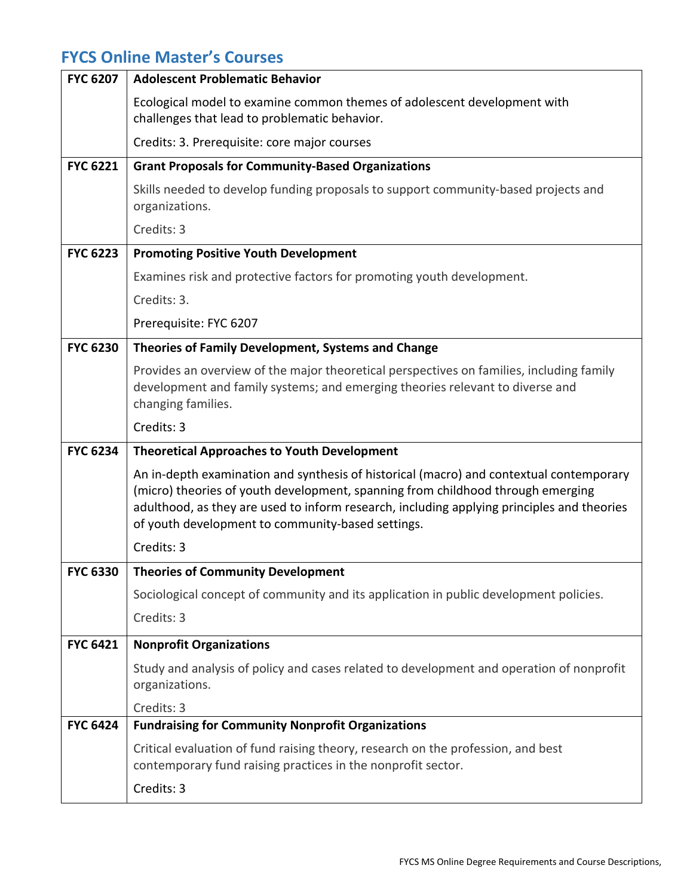# **FYCS Online Master's Courses**

| <b>FYC 6207</b> | <b>Adolescent Problematic Behavior</b>                                                                                                                                                                                                                                                                                        |
|-----------------|-------------------------------------------------------------------------------------------------------------------------------------------------------------------------------------------------------------------------------------------------------------------------------------------------------------------------------|
|                 | Ecological model to examine common themes of adolescent development with<br>challenges that lead to problematic behavior.                                                                                                                                                                                                     |
|                 | Credits: 3. Prerequisite: core major courses                                                                                                                                                                                                                                                                                  |
| <b>FYC 6221</b> | <b>Grant Proposals for Community-Based Organizations</b>                                                                                                                                                                                                                                                                      |
|                 | Skills needed to develop funding proposals to support community-based projects and<br>organizations.                                                                                                                                                                                                                          |
|                 | Credits: 3                                                                                                                                                                                                                                                                                                                    |
| <b>FYC 6223</b> | <b>Promoting Positive Youth Development</b>                                                                                                                                                                                                                                                                                   |
|                 | Examines risk and protective factors for promoting youth development.                                                                                                                                                                                                                                                         |
|                 | Credits: 3.                                                                                                                                                                                                                                                                                                                   |
|                 | Prerequisite: FYC 6207                                                                                                                                                                                                                                                                                                        |
| <b>FYC 6230</b> | Theories of Family Development, Systems and Change                                                                                                                                                                                                                                                                            |
|                 | Provides an overview of the major theoretical perspectives on families, including family<br>development and family systems; and emerging theories relevant to diverse and<br>changing families.                                                                                                                               |
|                 | Credits: 3                                                                                                                                                                                                                                                                                                                    |
| <b>FYC 6234</b> | <b>Theoretical Approaches to Youth Development</b>                                                                                                                                                                                                                                                                            |
|                 | An in-depth examination and synthesis of historical (macro) and contextual contemporary<br>(micro) theories of youth development, spanning from childhood through emerging<br>adulthood, as they are used to inform research, including applying principles and theories<br>of youth development to community-based settings. |
|                 | Credits: 3                                                                                                                                                                                                                                                                                                                    |
| <b>FYC 6330</b> | <b>Theories of Community Development</b>                                                                                                                                                                                                                                                                                      |
|                 | Sociological concept of community and its application in public development policies.                                                                                                                                                                                                                                         |
|                 | Credits: 3                                                                                                                                                                                                                                                                                                                    |
| <b>FYC 6421</b> | <b>Nonprofit Organizations</b>                                                                                                                                                                                                                                                                                                |
|                 | Study and analysis of policy and cases related to development and operation of nonprofit<br>organizations.                                                                                                                                                                                                                    |
|                 | Credits: 3                                                                                                                                                                                                                                                                                                                    |
| <b>FYC 6424</b> | <b>Fundraising for Community Nonprofit Organizations</b>                                                                                                                                                                                                                                                                      |
|                 | Critical evaluation of fund raising theory, research on the profession, and best<br>contemporary fund raising practices in the nonprofit sector.                                                                                                                                                                              |
|                 | Credits: 3                                                                                                                                                                                                                                                                                                                    |